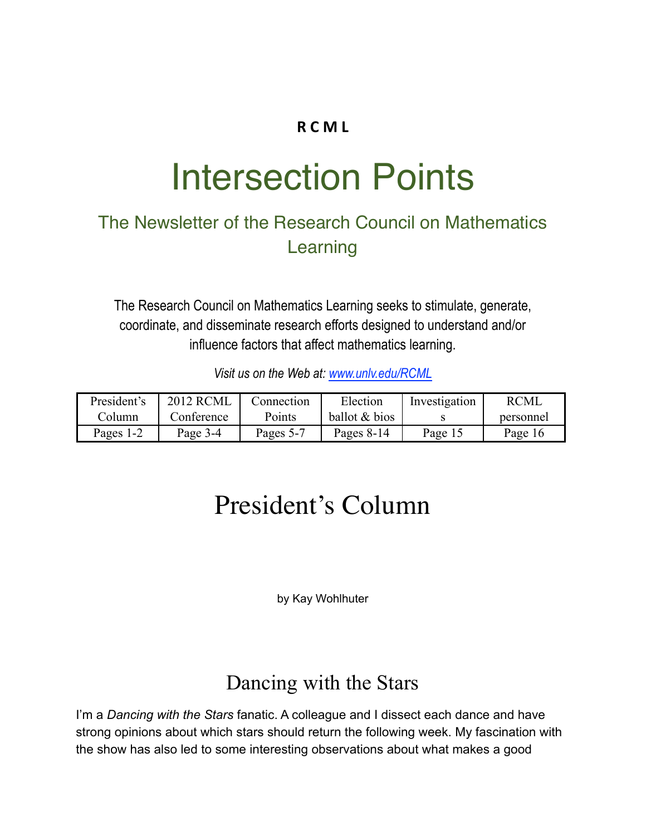## **R C M L**

# Intersection Points

## The Newsletter of the Research Council on Mathematics Learning

The Research Council on Mathematics Learning seeks to stimulate, generate, coordinate, and disseminate research efforts designed to understand and/or influence factors that affect mathematics learning.

*Visit us on the Web at: [www.unlv.edu/RCML](http://www.unlv.edu/RCML)*

| President's | <b>2012 RCML</b> | Connection | Election      | Investigation | <b>RCML</b> |
|-------------|------------------|------------|---------------|---------------|-------------|
| Column.     | Conference       | Points     | ballot & bios |               | personnel   |
| Pages 1-2   | Page 3-4         | Pages 5-7  | Pages $8-14$  | Page 15       | Page 16     |

## President's Column

by Kay Wohlhuter

## Dancing with the Stars

I'm a *Dancing with the Stars* fanatic. A colleague and I dissect each dance and have strong opinions about which stars should return the following week. My fascination with the show has also led to some interesting observations about what makes a good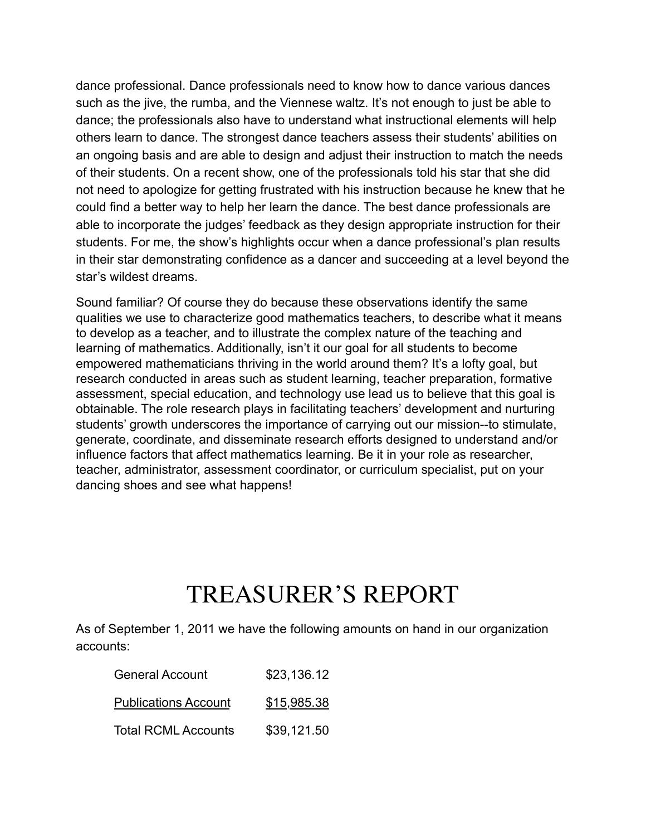dance professional. Dance professionals need to know how to dance various dances such as the jive, the rumba, and the Viennese waltz. It's not enough to just be able to dance; the professionals also have to understand what instructional elements will help others learn to dance. The strongest dance teachers assess their students' abilities on an ongoing basis and are able to design and adjust their instruction to match the needs of their students. On a recent show, one of the professionals told his star that she did not need to apologize for getting frustrated with his instruction because he knew that he could find a better way to help her learn the dance. The best dance professionals are able to incorporate the judges' feedback as they design appropriate instruction for their students. For me, the show's highlights occur when a dance professional's plan results in their star demonstrating confidence as a dancer and succeeding at a level beyond the star's wildest dreams.

Sound familiar? Of course they do because these observations identify the same qualities we use to characterize good mathematics teachers, to describe what it means to develop as a teacher, and to illustrate the complex nature of the teaching and learning of mathematics. Additionally, isn't it our goal for all students to become empowered mathematicians thriving in the world around them? It's a lofty goal, but research conducted in areas such as student learning, teacher preparation, formative assessment, special education, and technology use lead us to believe that this goal is obtainable. The role research plays in facilitating teachers' development and nurturing students' growth underscores the importance of carrying out our mission--to stimulate, generate, coordinate, and disseminate research efforts designed to understand and/or influence factors that affect mathematics learning. Be it in your role as researcher, teacher, administrator, assessment coordinator, or curriculum specialist, put on your dancing shoes and see what happens!

## TREASURER'S REPORT

As of September 1, 2011 we have the following amounts on hand in our organization accounts:

| <b>General Account</b>      | \$23,136.12 |
|-----------------------------|-------------|
| <b>Publications Account</b> | \$15,985.38 |
| <b>Total RCML Accounts</b>  | \$39,121.50 |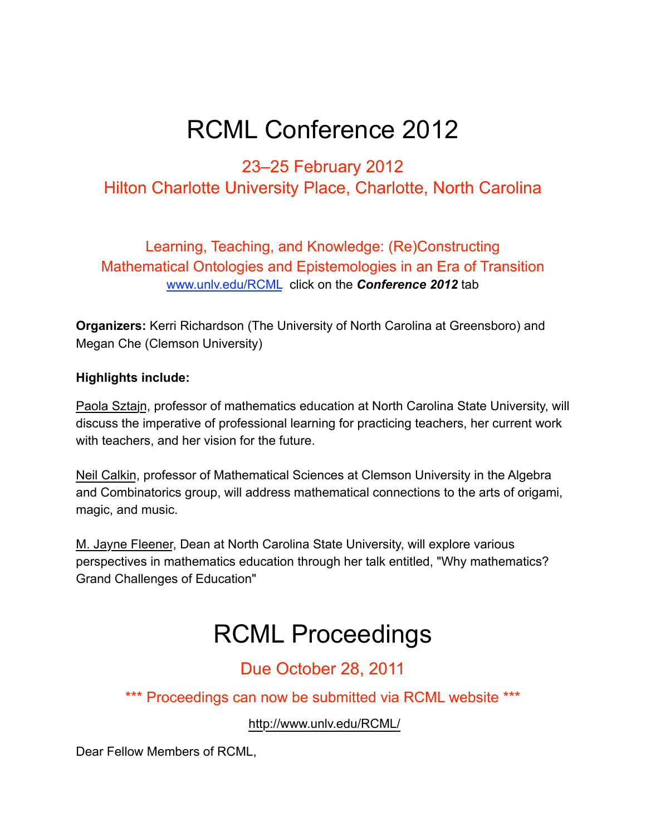## RCML Conference 2012

## 23–25 February 2012 Hilton Charlotte University Place, Charlotte, North Carolina

Learning, Teaching, and Knowledge: (Re)Constructing Mathematical Ontologies and Epistemologies in an Era of Transition [www.unlv.edu/RCML](http://www.unlv.edu/RCML%22%20%5Ct%20%22_blank) click on the *Conference 2012* tab

**Organizers:** Kerri Richardson (The University of North Carolina at Greensboro) and Megan Che (Clemson University)

#### **Highlights include:**

Paola Sztajn, professor of mathematics education at North Carolina State University, will discuss the imperative of professional learning for practicing teachers, her current work with teachers, and her vision for the future.

Neil Calkin, professor of Mathematical Sciences at Clemson University in the Algebra and Combinatorics group, will address mathematical connections to the arts of origami, magic, and music.

M. Jayne Fleener, Dean at North Carolina State University, will explore various perspectives in mathematics education through her talk entitled, "Why mathematics? Grand Challenges of Education"

## RCML Proceedings

## Due October 28, 2011

\*\*\* Proceedings can now be submitted via RCML website \*\*\*

<http://www.unlv.edu/RCML/>

Dear Fellow Members of RCML,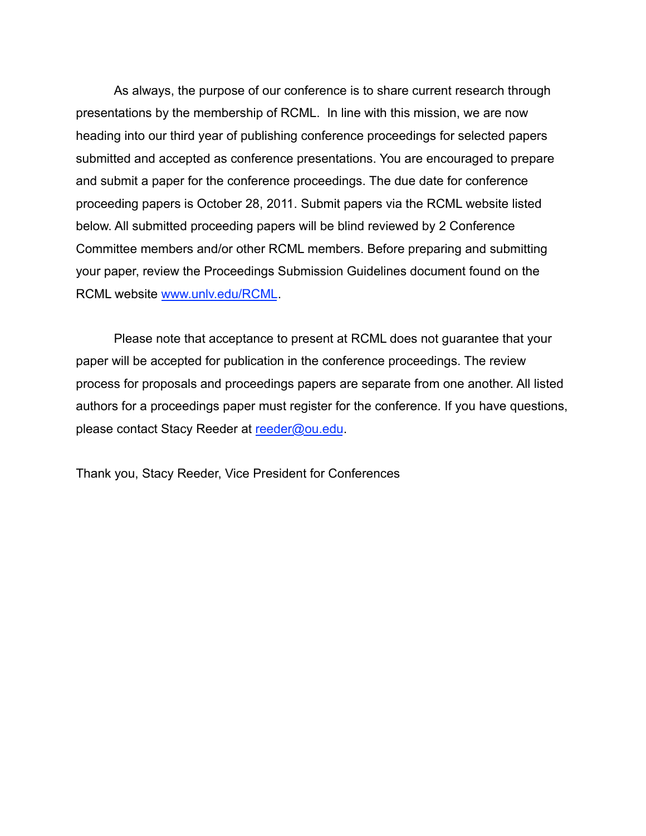As always, the purpose of our conference is to share current research through presentations by the membership of RCML. In line with this mission, we are now heading into our third year of publishing conference proceedings for selected papers submitted and accepted as conference presentations. You are encouraged to prepare and submit a paper for the conference proceedings. The due date for conference proceeding papers is October 28, 2011. Submit papers via the RCML website listed below. All submitted proceeding papers will be blind reviewed by 2 Conference Committee members and/or other RCML members. Before preparing and submitting your paper, review the Proceedings Submission Guidelines document found on the RCML website [www.unlv.edu/RCML](http://www.unlv.edu/RCML).

Please note that acceptance to present at RCML does not guarantee that your paper will be accepted for publication in the conference proceedings. The review process for proposals and proceedings papers are separate from one another. All listed authors for a proceedings paper must register for the conference. If you have questions, please contact Stacy Reeder at [reeder@ou.edu.](mailto:reeder@ou.edu)

Thank you, Stacy Reeder, Vice President for Conferences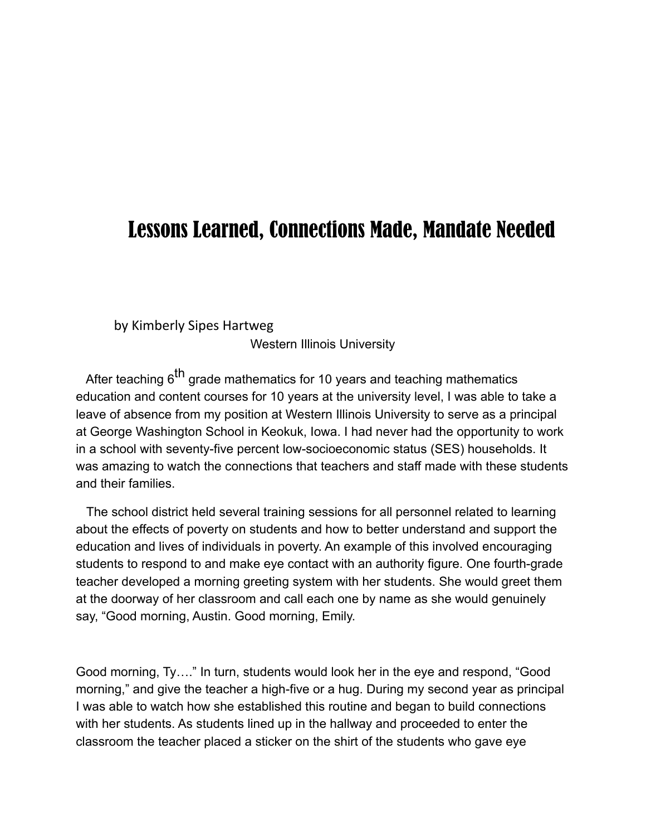## Lessons Learned, Connections Made, Mandate Needed

by Kimberly Sipes Hartweg

Western Illinois University

After teaching  $6<sup>th</sup>$  grade mathematics for 10 years and teaching mathematics education and content courses for 10 years at the university level, I was able to take a leave of absence from my position at Western Illinois University to serve as a principal at George Washington School in Keokuk, Iowa. I had never had the opportunity to work in a school with seventy-five percent low-socioeconomic status (SES) households. It was amazing to watch the connections that teachers and staff made with these students and their families.

 The school district held several training sessions for all personnel related to learning about the effects of poverty on students and how to better understand and support the education and lives of individuals in poverty. An example of this involved encouraging students to respond to and make eye contact with an authority figure. One fourth-grade teacher developed a morning greeting system with her students. She would greet them at the doorway of her classroom and call each one by name as she would genuinely say, "Good morning, Austin. Good morning, Emily.

Good morning, Ty…." In turn, students would look her in the eye and respond, "Good morning," and give the teacher a high-five or a hug. During my second year as principal I was able to watch how she established this routine and began to build connections with her students. As students lined up in the hallway and proceeded to enter the classroom the teacher placed a sticker on the shirt of the students who gave eye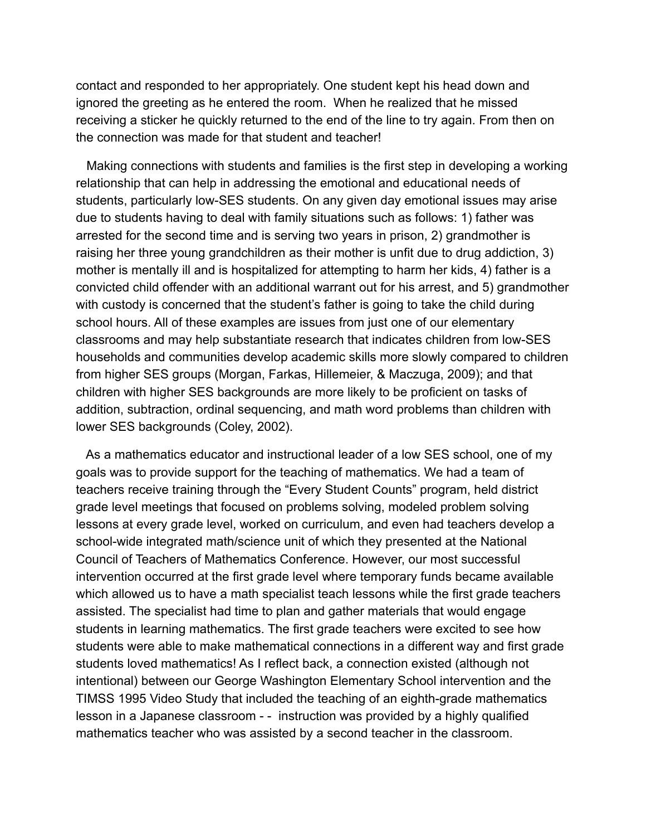contact and responded to her appropriately. One student kept his head down and ignored the greeting as he entered the room. When he realized that he missed receiving a sticker he quickly returned to the end of the line to try again. From then on the connection was made for that student and teacher!

 Making connections with students and families is the first step in developing a working relationship that can help in addressing the emotional and educational needs of students, particularly low-SES students. On any given day emotional issues may arise due to students having to deal with family situations such as follows: 1) father was arrested for the second time and is serving two years in prison, 2) grandmother is raising her three young grandchildren as their mother is unfit due to drug addiction, 3) mother is mentally ill and is hospitalized for attempting to harm her kids, 4) father is a convicted child offender with an additional warrant out for his arrest, and 5) grandmother with custody is concerned that the student's father is going to take the child during school hours. All of these examples are issues from just one of our elementary classrooms and may help substantiate research that indicates children from low-SES households and communities develop academic skills more slowly compared to children from higher SES groups (Morgan, Farkas, Hillemeier, & Maczuga, 2009); and that children with higher SES backgrounds are more likely to be proficient on tasks of addition, subtraction, ordinal sequencing, and math word problems than children with lower SES backgrounds (Coley, 2002).

 As a mathematics educator and instructional leader of a low SES school, one of my goals was to provide support for the teaching of mathematics. We had a team of teachers receive training through the "Every Student Counts" program, held district grade level meetings that focused on problems solving, modeled problem solving lessons at every grade level, worked on curriculum, and even had teachers develop a school-wide integrated math/science unit of which they presented at the National Council of Teachers of Mathematics Conference. However, our most successful intervention occurred at the first grade level where temporary funds became available which allowed us to have a math specialist teach lessons while the first grade teachers assisted. The specialist had time to plan and gather materials that would engage students in learning mathematics. The first grade teachers were excited to see how students were able to make mathematical connections in a different way and first grade students loved mathematics! As I reflect back, a connection existed (although not intentional) between our George Washington Elementary School intervention and the TIMSS 1995 Video Study that included the teaching of an eighth-grade mathematics lesson in a Japanese classroom - - instruction was provided by a highly qualified mathematics teacher who was assisted by a second teacher in the classroom.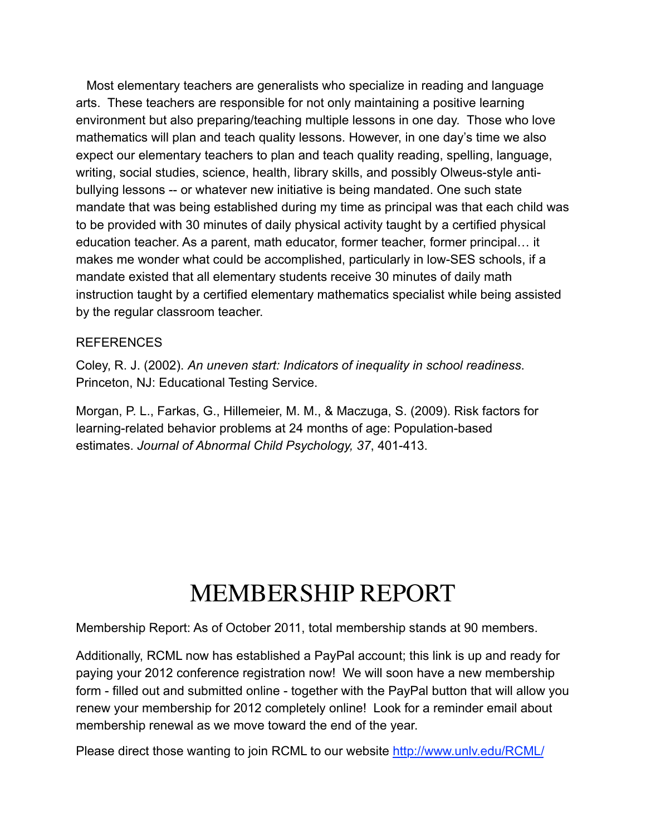Most elementary teachers are generalists who specialize in reading and language arts. These teachers are responsible for not only maintaining a positive learning environment but also preparing/teaching multiple lessons in one day. Those who love mathematics will plan and teach quality lessons. However, in one day's time we also expect our elementary teachers to plan and teach quality reading, spelling, language, writing, social studies, science, health, library skills, and possibly Olweus-style antibullying lessons -- or whatever new initiative is being mandated. One such state mandate that was being established during my time as principal was that each child was to be provided with 30 minutes of daily physical activity taught by a certified physical education teacher. As a parent, math educator, former teacher, former principal… it makes me wonder what could be accomplished, particularly in low-SES schools, if a mandate existed that all elementary students receive 30 minutes of daily math instruction taught by a certified elementary mathematics specialist while being assisted by the regular classroom teacher.

#### REFERENCES

Coley, R. J. (2002). *An uneven start: Indicators of inequality in school readiness*. Princeton, NJ: Educational Testing Service.

Morgan, P. L., Farkas, G., Hillemeier, M. M., & Maczuga, S. (2009). Risk factors for learning-related behavior problems at 24 months of age: Population-based estimates. *Journal of Abnormal Child Psychology, 37*, 401-413.

## MEMBERSHIP REPORT

Membership Report: As of October 2011, total membership stands at 90 members.

Additionally, RCML now has established a PayPal account; this link is up and ready for paying your 2012 conference registration now! We will soon have a new membership form - filled out and submitted online - together with the PayPal button that will allow you renew your membership for 2012 completely online! Look for a reminder email about membership renewal as we move toward the end of the year.

Please direct those wanting to join RCML to our website [http://www.unlv.edu/RCML/](http://www.unlv.edu/RCML/memberform.html)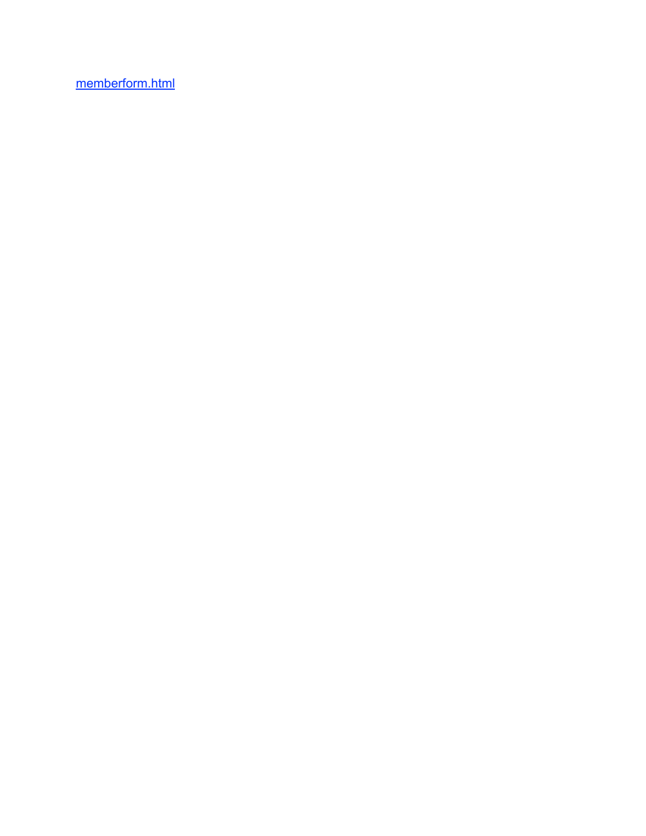[memberform.html](http://www.unlv.edu/RCML/memberform.html)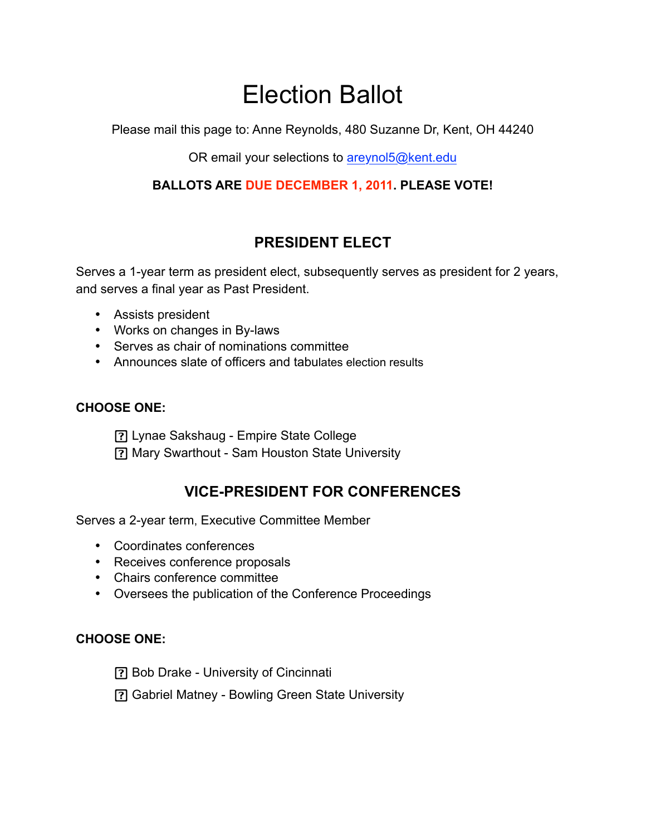## Election Ballot

Please mail this page to: Anne Reynolds, 480 Suzanne Dr, Kent, OH 44240

OR email your selections to [areynol5@kent.edu](mailto:areynol5@kent.edu)

## **BALLOTS ARE DUE DECEMBER 1, 2011. PLEASE VOTE!**

## **PRESIDENT ELECT**

Serves a 1-year term as president elect, subsequently serves as president for 2 years, and serves a final year as Past President.

- Assists president
- Works on changes in By-laws
- Serves as chair of nominations committee
- Announces slate of officers and tabulates election results

### **CHOOSE ONE:**

Lynae Sakshaug - Empire State College

Mary Swarthout - Sam Houston State University

## **VICE-PRESIDENT FOR CONFERENCES**

Serves a 2-year term, Executive Committee Member

- Coordinates conferences
- Receives conference proposals
- Chairs conference committee
- Oversees the publication of the Conference Proceedings

### **CHOOSE ONE:**

Bob Drake - University of Cincinnati

Gabriel Matney - Bowling Green State University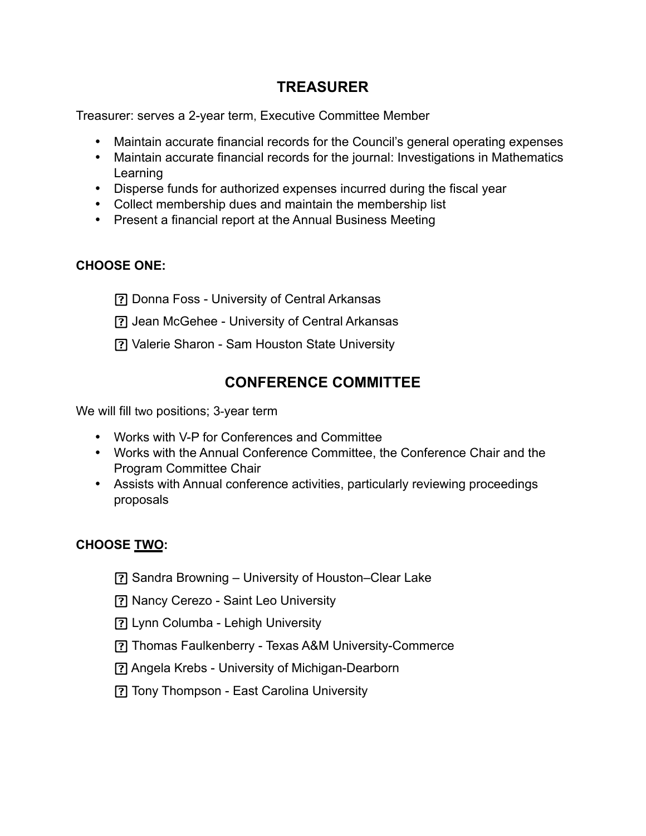## **TREASURER**

Treasurer: serves a 2-year term, Executive Committee Member

- Maintain accurate financial records for the Council's general operating expenses
- Maintain accurate financial records for the journal: Investigations in Mathematics Learning
- Disperse funds for authorized expenses incurred during the fiscal year
- Collect membership dues and maintain the membership list
- Present a financial report at the Annual Business Meeting

## **CHOOSE ONE:**

Donna Foss - University of Central Arkansas

- Jean McGehee University of Central Arkansas
- Valerie Sharon Sam Houston State University

## **CONFERENCE COMMITTEE**

We will fill two positions; 3-year term

- Works with V-P for Conferences and Committee
- Works with the Annual Conference Committee, the Conference Chair and the Program Committee Chair
- Assists with Annual conference activities, particularly reviewing proceedings proposals

### **CHOOSE TWO:**

- Sandra Browning University of Houston–Clear Lake
- Nancy Cerezo Saint Leo University
- Lynn Columba Lehigh University
- Thomas Faulkenberry Texas A&M University-Commerce
- Angela Krebs University of Michigan-Dearborn
- Tony Thompson East Carolina University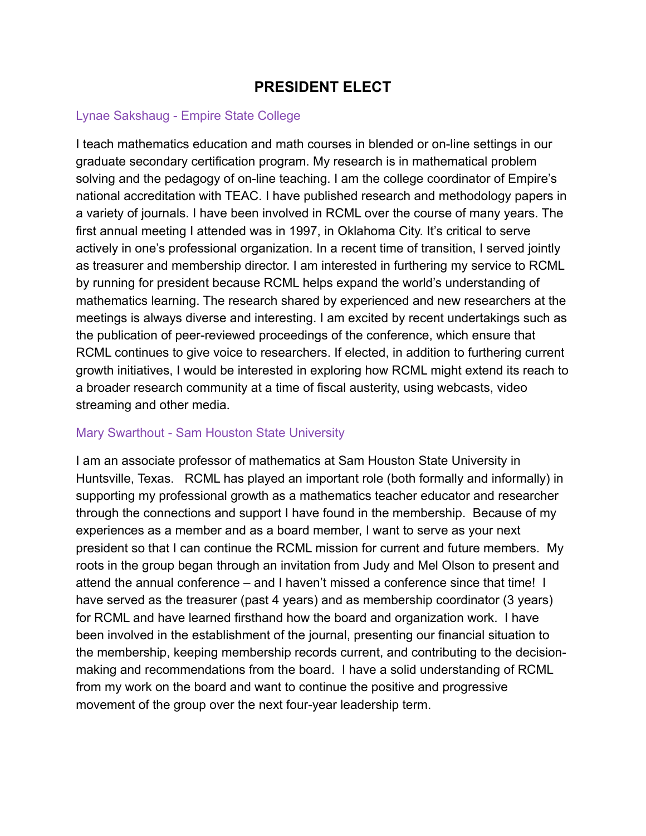## **PRESIDENT ELECT**

## Lynae Sakshaug - Empire State College

I teach mathematics education and math courses in blended or on-line settings in our graduate secondary certification program. My research is in mathematical problem solving and the pedagogy of on-line teaching. I am the college coordinator of Empire's national accreditation with TEAC. I have published research and methodology papers in a variety of journals. I have been involved in RCML over the course of many years. The first annual meeting I attended was in 1997, in Oklahoma City. It's critical to serve actively in one's professional organization. In a recent time of transition, I served jointly as treasurer and membership director. I am interested in furthering my service to RCML by running for president because RCML helps expand the world's understanding of mathematics learning. The research shared by experienced and new researchers at the meetings is always diverse and interesting. I am excited by recent undertakings such as the publication of peer-reviewed proceedings of the conference, which ensure that RCML continues to give voice to researchers. If elected, in addition to furthering current growth initiatives, I would be interested in exploring how RCML might extend its reach to a broader research community at a time of fiscal austerity, using webcasts, video streaming and other media.

### Mary Swarthout - Sam Houston State University

I am an associate professor of mathematics at Sam Houston State University in Huntsville, Texas. RCML has played an important role (both formally and informally) in supporting my professional growth as a mathematics teacher educator and researcher through the connections and support I have found in the membership. Because of my experiences as a member and as a board member, I want to serve as your next president so that I can continue the RCML mission for current and future members. My roots in the group began through an invitation from Judy and Mel Olson to present and attend the annual conference – and I haven't missed a conference since that time! I have served as the treasurer (past 4 years) and as membership coordinator (3 years) for RCML and have learned firsthand how the board and organization work. I have been involved in the establishment of the journal, presenting our financial situation to the membership, keeping membership records current, and contributing to the decisionmaking and recommendations from the board. I have a solid understanding of RCML from my work on the board and want to continue the positive and progressive movement of the group over the next four-year leadership term.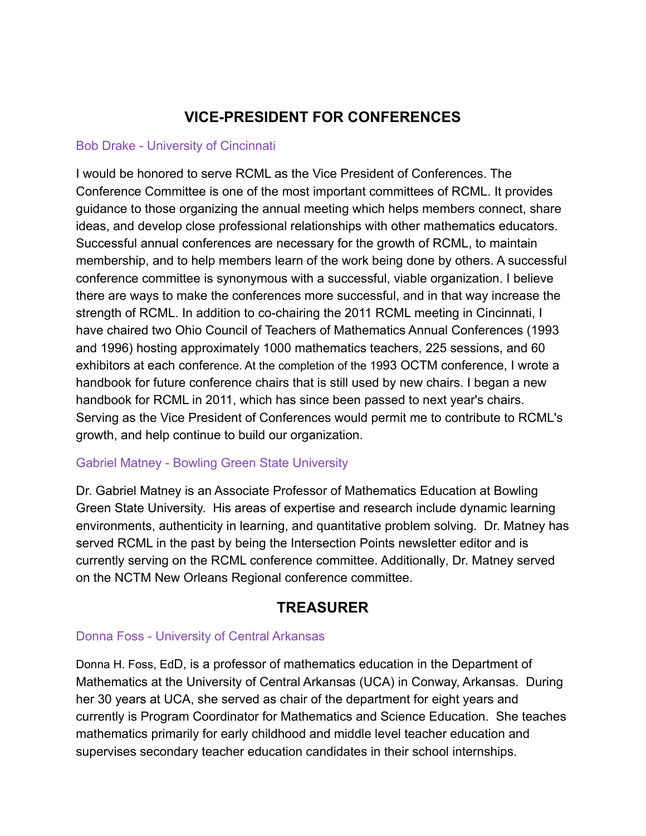## **VICE-PRESIDENT FOR CONFERENCES**

### Bob Drake - University of Cincinnati

I would be honored to serve RCML as the Vice President of Conferences. The Conference Committee is one of the most important committees of RCML. It provides guidance to those organizing the annual meeting which helps members connect, share ideas, and develop close professional relationships with other mathematics educators. Successful annual conferences are necessary for the growth of RCML, to maintain membership, and to help members learn of the work being done by others. A successful conference committee is synonymous with a successful, viable organization. I believe there are ways to make the conferences more successful, and in that way increase the strength of RCML. In addition to co-chairing the 2011 RCML meeting in Cincinnati, I have chaired two Ohio Council of Teachers of Mathematics Annual Conferences (1993 and 1996) hosting approximately 1000 mathematics teachers, 225 sessions, and 60 exhibitors at each conference. At the completion of the 1993 OCTM conference, I wrote a handbook for future conference chairs that is still used by new chairs. I began a new handbook for RCML in 2011, which has since been passed to next year's chairs. Serving as the Vice President of Conferences would permit me to contribute to RCML's growth, and help continue to build our organization.

### Gabriel Matney - Bowling Green State University

Dr. Gabriel Matney is an Associate Professor of Mathematics Education at Bowling Green State University. His areas of expertise and research include dynamic learning environments, authenticity in learning, and quantitative problem solving. Dr. Matney has served RCML in the past by being the Intersection Points newsletter editor and is currently serving on the RCML conference committee. Additionally, Dr. Matney served on the NCTM New Orleans Regional conference committee.

## **TREASURER**

## Donna Foss - University of Central Arkansas

Donna H. Foss, EdD, is a professor of mathematics education in the Department of Mathematics at the University of Central Arkansas (UCA) in Conway, Arkansas. During her 30 years at UCA, she served as chair of the department for eight years and currently is Program Coordinator for Mathematics and Science Education. She teaches mathematics primarily for early childhood and middle level teacher education and supervises secondary teacher education candidates in their school internships.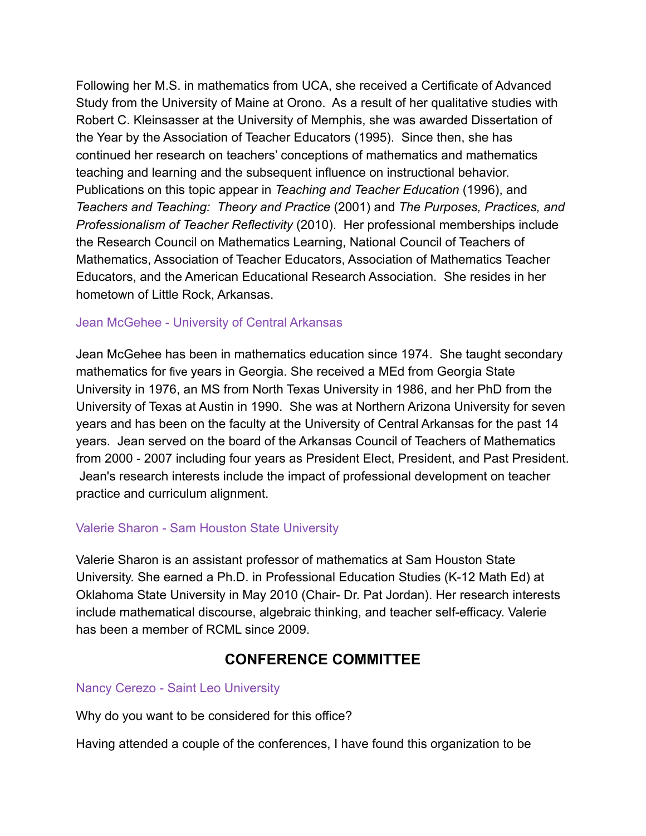Following her M.S. in mathematics from UCA, she received a Certificate of Advanced Study from the University of Maine at Orono. As a result of her qualitative studies with Robert C. Kleinsasser at the University of Memphis, she was awarded Dissertation of the Year by the Association of Teacher Educators (1995). Since then, she has continued her research on teachers' conceptions of mathematics and mathematics teaching and learning and the subsequent influence on instructional behavior. Publications on this topic appear in *Teaching and Teacher Education* (1996), and *Teachers and Teaching: Theory and Practice* (2001) and *The Purposes, Practices, and Professionalism of Teacher Reflectivity* (2010). Her professional memberships include the Research Council on Mathematics Learning, National Council of Teachers of Mathematics, Association of Teacher Educators, Association of Mathematics Teacher Educators, and the American Educational Research Association. She resides in her hometown of Little Rock, Arkansas.

#### Jean McGehee - University of Central Arkansas

Jean McGehee has been in mathematics education since 1974. She taught secondary mathematics for five years in Georgia. She received a MEd from Georgia State University in 1976, an MS from North Texas University in 1986, and her PhD from the University of Texas at Austin in 1990. She was at Northern Arizona University for seven years and has been on the faculty at the University of Central Arkansas for the past 14 years. Jean served on the board of the Arkansas Council of Teachers of Mathematics from 2000 - 2007 including four years as President Elect, President, and Past President. Jean's research interests include the impact of professional development on teacher practice and curriculum alignment.

### Valerie Sharon - Sam Houston State University

Valerie Sharon is an assistant professor of mathematics at Sam Houston State University. She earned a Ph.D. in Professional Education Studies (K-12 Math Ed) at Oklahoma State University in May 2010 (Chair- Dr. Pat Jordan). Her research interests include mathematical discourse, algebraic thinking, and teacher self-efficacy. Valerie has been a member of RCML since 2009.

## **CONFERENCE COMMITTEE**

#### Nancy Cerezo - Saint Leo University

Why do you want to be considered for this office?

Having attended a couple of the conferences, I have found this organization to be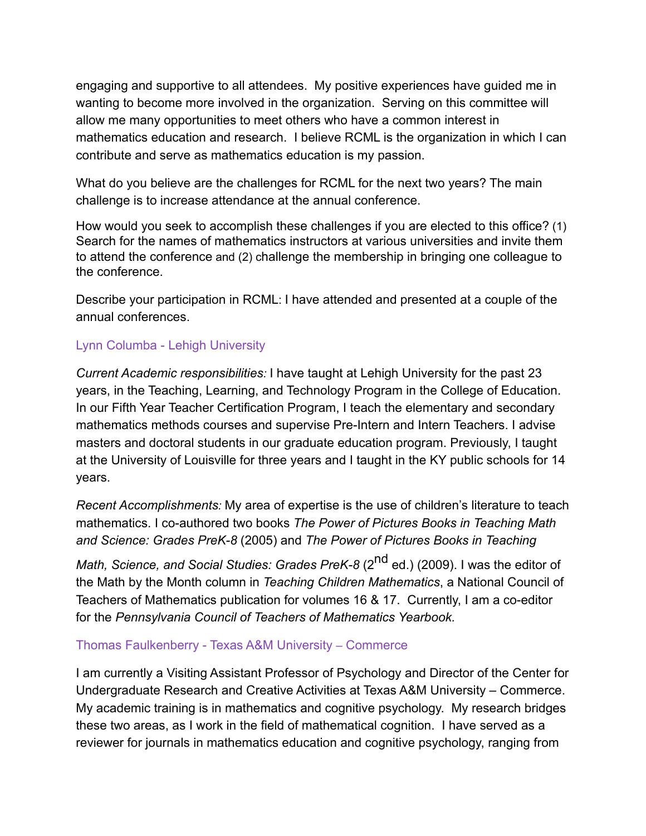engaging and supportive to all attendees. My positive experiences have guided me in wanting to become more involved in the organization. Serving on this committee will allow me many opportunities to meet others who have a common interest in mathematics education and research. I believe RCML is the organization in which I can contribute and serve as mathematics education is my passion.

What do you believe are the challenges for RCML for the next two years? The main challenge is to increase attendance at the annual conference.

How would you seek to accomplish these challenges if you are elected to this office? (1) Search for the names of mathematics instructors at various universities and invite them to attend the conference and (2) challenge the membership in bringing one colleague to the conference.

Describe your participation in RCML: I have attended and presented at a couple of the annual conferences.

### Lynn Columba - Lehigh University

*Current Academic responsibilities:* I have taught at Lehigh University for the past 23 years, in the Teaching, Learning, and Technology Program in the College of Education. In our Fifth Year Teacher Certification Program, I teach the elementary and secondary mathematics methods courses and supervise Pre-Intern and Intern Teachers. I advise masters and doctoral students in our graduate education program. Previously, I taught at the University of Louisville for three years and I taught in the KY public schools for 14 years.

*Recent Accomplishments:* My area of expertise is the use of children's literature to teach mathematics. I co-authored two books *The Power of Pictures Books in Teaching Math and Science: Grades PreK-8* (2005) and *The Power of Pictures Books in Teaching* 

*Math, Science, and Social Studies: Grades PreK-8* (2<sup>nd</sup> ed.) (2009). I was the editor of the Math by the Month column in *Teaching Children Mathematics*, a National Council of Teachers of Mathematics publication for volumes 16 & 17. Currently, I am a co-editor for the *Pennsylvania Council of Teachers of Mathematics Yearbook.*

#### Thomas Faulkenberry - Texas A&M University – Commerce

I am currently a Visiting Assistant Professor of Psychology and Director of the Center for Undergraduate Research and Creative Activities at Texas A&M University – Commerce. My academic training is in mathematics and cognitive psychology. My research bridges these two areas, as I work in the field of mathematical cognition. I have served as a reviewer for journals in mathematics education and cognitive psychology, ranging from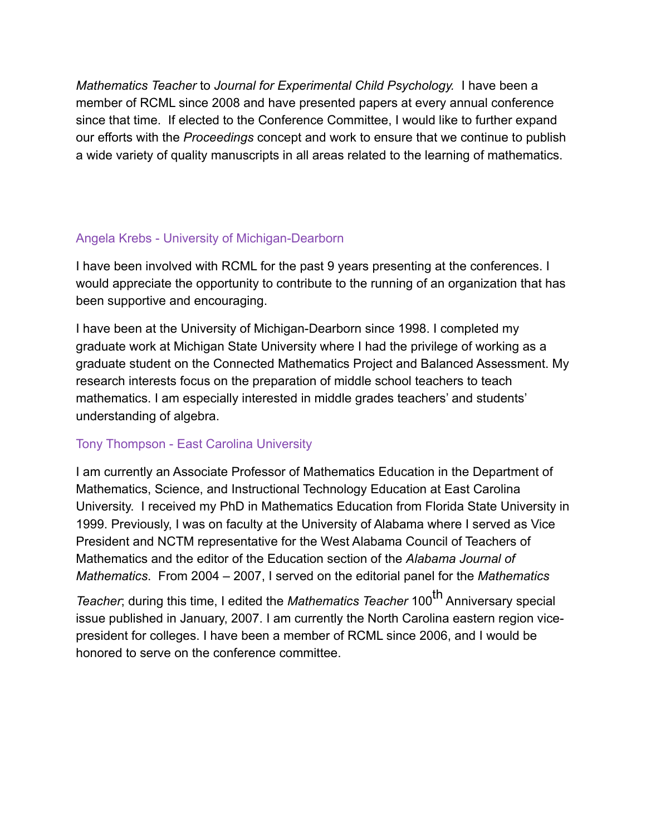*Mathematics Teacher* to *Journal for Experimental Child Psychology.* I have been a member of RCML since 2008 and have presented papers at every annual conference since that time. If elected to the Conference Committee, I would like to further expand our efforts with the *Proceedings* concept and work to ensure that we continue to publish a wide variety of quality manuscripts in all areas related to the learning of mathematics.

## Angela Krebs - University of Michigan-Dearborn

I have been involved with RCML for the past 9 years presenting at the conferences. I would appreciate the opportunity to contribute to the running of an organization that has been supportive and encouraging.

I have been at the University of Michigan-Dearborn since 1998. I completed my graduate work at Michigan State University where I had the privilege of working as a graduate student on the Connected Mathematics Project and Balanced Assessment. My research interests focus on the preparation of middle school teachers to teach mathematics. I am especially interested in middle grades teachers' and students' understanding of algebra.

### Tony Thompson - East Carolina University

I am currently an Associate Professor of Mathematics Education in the Department of Mathematics, Science, and Instructional Technology Education at East Carolina University. I received my PhD in Mathematics Education from Florida State University in 1999. Previously, I was on faculty at the University of Alabama where I served as Vice President and NCTM representative for the West Alabama Council of Teachers of Mathematics and the editor of the Education section of the *Alabama Journal of Mathematics*. From 2004 – 2007, I served on the editorial panel for the *Mathematics* 

*Teacher*; during this time, I edited the *Mathematics Teacher* 100<sup>th</sup> Anniversary special issue published in January, 2007. I am currently the North Carolina eastern region vicepresident for colleges. I have been a member of RCML since 2006, and I would be honored to serve on the conference committee.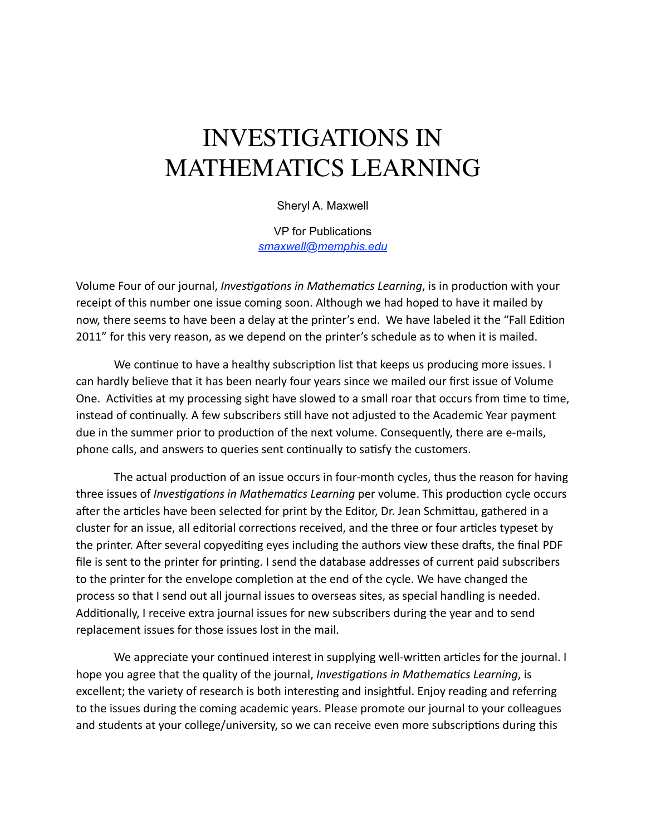## INVESTIGATIONS IN MATHEMATICS LEARNING

Sheryl A. Maxwell

VP for Publications *[smaxwell@memphis.edu](mailto:smaxwell@memphis.edu)*

Volume Four of our journal, *Investigations in Mathematics Learning*, is in production with your receipt of this number one issue coming soon. Although we had hoped to have it mailed by now, there seems to have been a delay at the printer's end. We have labeled it the "Fall Edition 2011" for this very reason, as we depend on the printer's schedule as to when it is mailed.

We continue to have a healthy subscription list that keeps us producing more issues. I can hardly believe that it has been nearly four years since we mailed our first issue of Volume One. Activities at my processing sight have slowed to a small roar that occurs from time to time, instead of continually. A few subscribers still have not adjusted to the Academic Year payment due in the summer prior to production of the next volume. Consequently, there are e-mails, phone calls, and answers to queries sent continually to satisfy the customers.

The actual production of an issue occurs in four-month cycles, thus the reason for having three issues of *Investigations in Mathematics Learning* per volume. This production cycle occurs after the articles have been selected for print by the Editor, Dr. Jean Schmittau, gathered in a cluster for an issue, all editorial corrections received, and the three or four articles typeset by the printer. After several copyediting eyes including the authors view these drafts, the final PDF file is sent to the printer for printing. I send the database addresses of current paid subscribers to the printer for the envelope completion at the end of the cycle. We have changed the process so that I send out all journal issues to overseas sites, as special handling is needed. Additionally, I receive extra journal issues for new subscribers during the year and to send replacement issues for those issues lost in the mail.

We appreciate your continued interest in supplying well-written articles for the journal. I hope you agree that the quality of the journal, *Investigations in Mathematics Learning*, is excellent; the variety of research is both interesting and insightful. Enjoy reading and referring to the issues during the coming academic years. Please promote our journal to your colleagues and students at your college/university, so we can receive even more subscriptions during this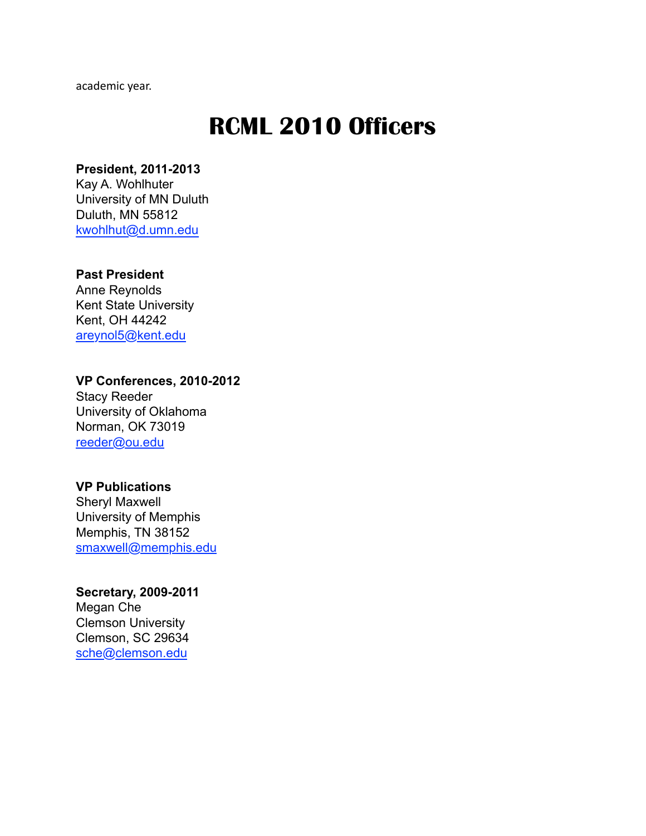academic year.

## **RCML 2010 Officers**

## **President, 2011-2013**

Kay A. Wohlhuter University of MN Duluth Duluth, MN 55812 [kwohlhut@d.umn.edu](mailto:kwohlhut@d.umn.edu)

#### **Past President**

Anne Reynolds Kent State University Kent, OH 44242 [areynol5@kent.edu](mailto:areynol5@kent.edu)

#### **VP Conferences, 2010-2012** Stacy Reeder

University of Oklahoma Norman, OK 73019 [reeder@ou.edu](mailto:reeder@ou.edu)

#### **VP Publications**

Sheryl Maxwell University of Memphis Memphis, TN 38152 [smaxwell@memphis.edu](mailto:smaxwell@memphis.edu)

## **Secretary, 2009-2011**

Megan Che Clemson University Clemson, SC 29634 [sche@clemson.edu](mailto:sche@clemson.edu)